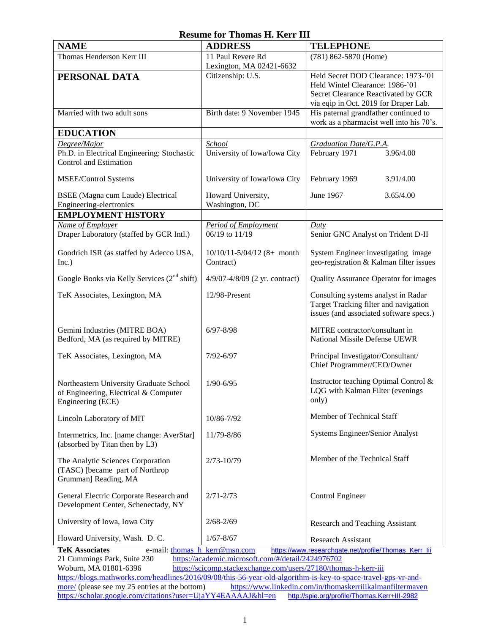| <b>Resume for Thomas H. Kerr III</b>                                                                           |                                               |                                                                                   |
|----------------------------------------------------------------------------------------------------------------|-----------------------------------------------|-----------------------------------------------------------------------------------|
| <b>NAME</b>                                                                                                    | <b>ADDRESS</b>                                | <b>TELEPHONE</b>                                                                  |
| Thomas Henderson Kerr III                                                                                      | 11 Paul Revere Rd<br>Lexington, MA 02421-6632 | (781) 862-5870 (Home)                                                             |
| PERSONAL DATA                                                                                                  | Citizenship: U.S.                             | Held Secret DOD Clearance: 1973-'01                                               |
|                                                                                                                |                                               | Held Wintel Clearance: 1986-'01                                                   |
|                                                                                                                |                                               | Secret Clearance Reactivated by GCR                                               |
|                                                                                                                |                                               | via eqip in Oct. 2019 for Draper Lab.                                             |
| Married with two adult sons                                                                                    | Birth date: 9 November 1945                   | His paternal grandfather continued to<br>work as a pharmacist well into his 70's. |
| <b>EDUCATION</b>                                                                                               |                                               |                                                                                   |
| Degree/Major                                                                                                   | School                                        | Graduation Date/G.P.A.                                                            |
| Ph.D. in Electrical Engineering: Stochastic                                                                    | University of Iowa/Iowa City                  | 3.96/4.00<br>February 1971                                                        |
| Control and Estimation                                                                                         |                                               |                                                                                   |
|                                                                                                                |                                               |                                                                                   |
| <b>MSEE/Control Systems</b>                                                                                    | University of Iowa/Iowa City                  | February 1969<br>3.91/4.00                                                        |
| <b>BSEE</b> (Magna cum Laude) Electrical                                                                       | Howard University,                            | June 1967<br>3.65/4.00                                                            |
| Engineering-electronics                                                                                        | Washington, DC                                |                                                                                   |
| <b>EMPLOYMENT HISTORY</b>                                                                                      |                                               |                                                                                   |
| Name of Employer                                                                                               | <b>Period of Employment</b>                   | $_{Duty}$                                                                         |
| Draper Laboratory (staffed by GCR Intl.)                                                                       | 06/19 to 11/19                                | Senior GNC Analyst on Trident D-II                                                |
|                                                                                                                |                                               |                                                                                   |
| Goodrich ISR (as staffed by Adecco USA,                                                                        | 10/10/11-5/04/12 (8+ month                    | System Engineer investigating image                                               |
| Inc.)                                                                                                          | Contract)                                     | geo-registration & Kalman filter issues                                           |
| Google Books via Kelly Services $(2^{nd} \text{ shift})$                                                       | 4/9/07-4/8/09 (2 yr. contract)                | Quality Assurance Operator for images                                             |
| TeK Associates, Lexington, MA                                                                                  | 12/98-Present                                 | Consulting systems analyst in Radar                                               |
|                                                                                                                |                                               | Target Tracking filter and navigation                                             |
|                                                                                                                |                                               | issues (and associated software specs.)                                           |
| Gemini Industries (MITRE BOA)                                                                                  | $6/97 - 8/98$                                 | MITRE contractor/consultant in                                                    |
| Bedford, MA (as required by MITRE)                                                                             |                                               | National Missile Defense UEWR                                                     |
|                                                                                                                |                                               |                                                                                   |
| TeK Associates, Lexington, MA                                                                                  | $7/92 - 6/97$                                 | Principal Investigator/Consultant/                                                |
|                                                                                                                |                                               | Chief Programmer/CEO/Owner                                                        |
| Northeastern University Graduate School                                                                        | $1/90 - 6/95$                                 | Instructor teaching Optimal Control &                                             |
| of Engineering, Electrical & Computer                                                                          |                                               | LQG with Kalman Filter (evenings                                                  |
| Engineering (ECE)                                                                                              |                                               | only)                                                                             |
| Lincoln Laboratory of MIT                                                                                      | 10/86-7/92                                    | Member of Technical Staff                                                         |
|                                                                                                                |                                               |                                                                                   |
| Intermetrics, Inc. [name change: AverStar]                                                                     | 11/79-8/86                                    | Systems Engineer/Senior Analyst                                                   |
| (absorbed by Titan then by L3)                                                                                 |                                               |                                                                                   |
| The Analytic Sciences Corporation                                                                              | $2/73 - 10/79$                                | Member of the Technical Staff                                                     |
| (TASC) [became part of Northrop                                                                                |                                               |                                                                                   |
| Grumman] Reading, MA                                                                                           |                                               |                                                                                   |
|                                                                                                                |                                               |                                                                                   |
| General Electric Corporate Research and                                                                        | $2/71 - 2/73$                                 | <b>Control Engineer</b>                                                           |
| Development Center, Schenectady, NY                                                                            |                                               |                                                                                   |
| University of Iowa, Iowa City                                                                                  | $2/68 - 2/69$                                 | Research and Teaching Assistant                                                   |
| Howard University, Wash. D. C.                                                                                 | $1/67 - 8/67$                                 | Research Assistant                                                                |
| <b>TeK Associates</b><br>e-mail: thomas_h_kerr@msn.com<br>https://www.researchgate.net/profile/Thomas_Kerr_lii |                                               |                                                                                   |
| https://academic.microsoft.com/#/detail/2424976702<br>21 Cummings Park, Suite 230                              |                                               |                                                                                   |
| https://scicomp.stackexchange.com/users/27180/thomas-h-kerr-iii<br>Woburn, MA 01801-6396                       |                                               |                                                                                   |
| https://blogs.mathworks.com/headlines/2016/09/08/this-56-year-old-algorithm-is-key-to-space-travel-gps-vr-and- |                                               |                                                                                   |

[more/](https://blogs.mathworks.com/headlines/2016/09/08/this-56-year-old-algorithm-is-key-to-space-travel-gps-vr-and-more/) (please see my 25 entries at the bottom) <https://www.linkedin.com/in/thomaskerriiikalmanfiltermaven> <https://scholar.google.com/citations?user=UjaYY4EAAAAJ&hl=en> <http://spie.org/profile/Thomas.Kerr+III-2982>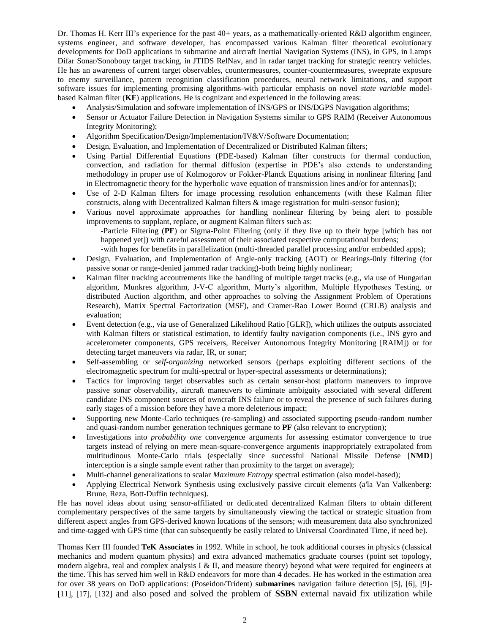Dr. Thomas H. Kerr III's experience for the past  $40+$  years, as a mathematically-oriented R&D algorithm engineer, systems engineer, and software developer, has encompassed various Kalman filter theoretical evolutionary developments for DoD applications in submarine and aircraft Inertial Navigation Systems (INS), in GPS, in Lamps Difar Sonar/Sonobouy target tracking, in JTIDS RelNav, and in radar target tracking for strategic reentry vehicles. He has an awareness of current target observables, countermeasures, counter-countermeasures, sweeprate exposure to enemy surveillance, pattern recognition classification procedures, neural network limitations, and support software issues for implementing promising algorithms-with particular emphasis on novel *state variable* modelbased Kalman filter (**KF**) applications. He is cognizant and experienced in the following areas:

- Analysis/Simulation and software implementation of INS/GPS or INS/DGPS Navigation algorithms;
- Sensor or Actuator Failure Detection in Navigation Systems similar to GPS RAIM (Receiver Autonomous Integrity Monitoring);
- Algorithm Specification/Design/Implementation/IV&V/Software Documentation;
- Design, Evaluation, and Implementation of Decentralized or Distributed Kalman filters;
- Using Partial Differential Equations (PDE-based) Kalman filter constructs for thermal conduction, convection, and radiation for thermal diffusion (expertise in PDE's also extends to understanding methodology in proper use of Kolmogorov or Fokker-Planck Equations arising in nonlinear filtering [and in Electromagnetic theory for the hyperbolic wave equation of transmission lines and/or for antennas]);
- Use of 2-D Kalman filters for image processing resolution enhancements (with these Kalman filter constructs, along with Decentralized Kalman filters & image registration for multi-sensor fusion);
- Various novel approximate approaches for handling nonlinear filtering by being alert to possible improvements to supplant, replace, or augment Kalman filters such as:
	- -Particle Filtering (**PF**) or Sigma-Point Filtering (only if they live up to their hype [which has not happened yet]) with careful assessment of their associated respective computational burdens;

-with hopes for benefits in parallelization (multi-threaded parallel processing and/or embedded apps);

- Design, Evaluation, and Implementation of Angle-only tracking (AOT) or Bearings-0nly filtering (for passive sonar or range-denied jammed radar tracking)-both being highly nonlinear;
- Kalman filter tracking accoutrements like the handling of multiple target tracks (e.g., via use of Hungarian algorithm, Munkres algorithm, J-V-C algorithm, Murty's algorithm, Multiple Hypotheses Testing, or distributed Auction algorithm, and other approaches to solving the Assignment Problem of Operations Research), Matrix Spectral Factorization (MSF), and Cramer-Rao Lower Bound (CRLB) analysis and evaluation;
- Event detection (e.g., via use of Generalized Likelihood Ratio [GLR]), which utilizes the outputs associated with Kalman filters or statistical estimation, to identify faulty navigation components (i.e., INS gyro and accelerometer components, GPS receivers, Receiver Autonomous Integrity Monitoring [RAIM]) or for detecting target maneuvers via radar, IR, or sonar;
- Self-assembling or *self-organizing* networked sensors (perhaps exploiting different sections of the electromagnetic spectrum for multi-spectral or hyper-spectral assessments or determinations);
- Tactics for improving target observables such as certain sensor-host platform maneuvers to improve passive sonar observability, aircraft maneuvers to eliminate ambiguity associated with several different candidate INS component sources of owncraft INS failure or to reveal the presence of such failures during early stages of a mission before they have a more deleterious impact;
- Supporting new Monte-Carlo techniques (re-sampling) and associated supporting pseudo-random number and quasi-random number generation techniques germane to **PF** (also relevant to encryption);
- Investigations into *probability one* convergence arguments for assessing estimator convergence to true targets instead of relying on mere mean-square-convergence arguments inappropriately extrapolated from multitudinous Monte-Carlo trials (especially since successful National Missile Defense [**NMD**] interception is a single sample event rather than proximity to the target on average);
- Multi-channel generalizations to scalar *Maximum Entropy* spectral estimation (also model-based);
- Applying Electrical Network Synthesis using exclusively passive circuit elements (a'la Van Valkenberg: Brune, Reza, Bott-Duffin techniques).

He has novel ideas about using sensor-affiliated or dedicated decentralized Kalman filters to obtain different complementary perspectives of the same targets by simultaneously viewing the tactical or strategic situation from different aspect angles from GPS-derived known locations of the sensors; with measurement data also synchronized and time-tagged with GPS time (that can subsequently be easily related to Universal Coordinated Time, if need be).

Thomas Kerr III founded **TeK Associates** in 1992. While in school, he took additional courses in physics (classical mechanics and modern quantum physics) and extra advanced mathematics graduate courses (point set topology, modern algebra, real and complex analysis I & II, and measure theory) beyond what were required for engineers at the time. This has served him well in R&D endeavors for more than 4 decades. He has worked in the estimation area for over 38 years on DoD applications: (Poseidon/Trident) **submarines** navigation failure detection [5], [6], [9]- [11], [17], [132] and also posed and solved the problem of **SSBN** external navaid fix utilization while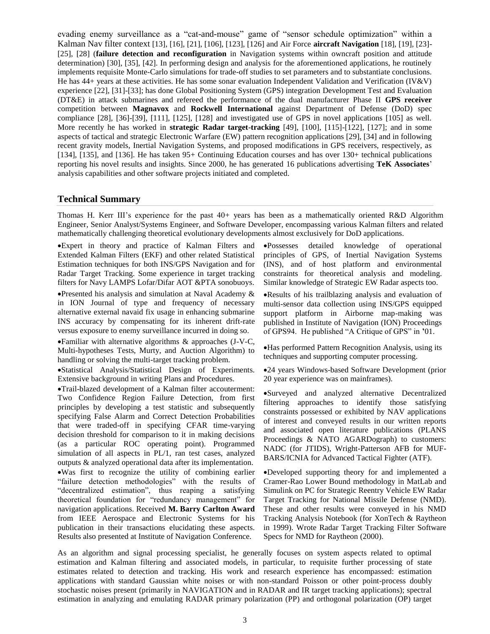evading enemy surveillance as a "cat-and-mouse" game of "sensor schedule optimization" within a Kalman Nav filter context [13], [16], [21], [106], [123], [126] and Air Force **aircraft Navigation** [18], [19], [23]- [25], [28] (**failure detection and reconfiguration** in Navigation systems within owncraft position and attitude determination) [30], [35], [42]. In performing design and analysis for the aforementioned applications, he routinely implements requisite Monte-Carlo simulations for trade-off studies to set parameters and to substantiate conclusions. He has 44+ years at these activities. He has some sonar evaluation Independent Validation and Verification (IV&V) experience [22], [31]-[33]; has done Global Positioning System (GPS) integration Development Test and Evaluation (DT&E) in attack submarines and refereed the performance of the dual manufacturer Phase II **GPS receiver** competition between **Magnavox** and **Rockwell International** against Department of Defense (DoD) spec compliance [28], [36]-[39], [111], [125], [128] and investigated use of GPS in novel applications [105] as well. More recently he has worked in **strategic Radar target-tracking** [49], [100], [115]-[122], [127]; and in some aspects of tactical and strategic Electronic Warfare (EW) pattern recognition applications [29], [34] and in following recent gravity models, Inertial Navigation Systems, and proposed modifications in GPS receivers, respectively, as [134], [135], and [136]. He has taken 95+ Continuing Education courses and has over 130+ technical publications reporting his novel results and insights. Since 2000, he has generated 16 publications advertising **TeK Associates**' analysis capabilities and other software projects initiated and completed.

#### **Technical Summary**

Thomas H. Kerr III's experience for the past 40+ years has been as a mathematically oriented R&D Algorithm Engineer, Senior Analyst/Systems Engineer, and Software Developer, encompassing various Kalman filters and related mathematically challenging theoretical evolutionary developments almost exclusively for DoD applications.

Expert in theory and practice of Kalman Filters and Extended Kalman Filters (EKF) and other related Statistical Estimation techniques for both INS/GPS Navigation and for Radar Target Tracking. Some experience in target tracking filters for Navy LAMPS Lofar/Difar AOT &PTA sonobuoys.

Presented his analysis and simulation at Naval Academy & in ION Journal of type and frequency of necessary alternative external navaid fix usage in enhancing submarine INS accuracy by compensating for its inherent drift-rate versus exposure to enemy surveillance incurred in doing so.

Familiar with alternative algorithms & approaches (J-V-C, Multi-hypotheses Tests, Murty, and Auction Algorithm) to handling or solving the multi-target tracking problem.

Statistical Analysis/Statistical Design of Experiments. Extensive background in writing Plans and Procedures.

Trail-blazed development of a Kalman filter accouterment: Two Confidence Region Failure Detection, from first principles by developing a test statistic and subsequently specifying False Alarm and Correct Detection Probabilities that were traded-off in specifying CFAR time-varying decision threshold for comparison to it in making decisions (as a particular ROC operating point). Programmed simulation of all aspects in PL/1, ran test cases, analyzed outputs & analyzed operational data after its implementation. Was first to recognize the utility of combining earlier "failure detection methodologies" with the results of "decentralized estimation", thus reaping a satisfying theoretical foundation for "redundancy management" for navigation applications. Received **M. Barry Carlton Award** from IEEE Aerospace and Electronic Systems for his publication in their transactions elucidating these aspects. Results also presented at Institute of Navigation Conference.

Possesses detailed knowledge of operational principles of GPS, of Inertial Navigation Systems (INS), and of host platform and environmental constraints for theoretical analysis and modeling. Similar knowledge of Strategic EW Radar aspects too.

Results of his trailblazing analysis and evaluation of multi-sensor data collection using INS/GPS equipped support platform in Airborne map-making was published in Institute of Navigation (ION) Proceedings of GPS94. He published "A Critique of GPS" in **'**01.

Has performed Pattern Recognition Analysis, using its techniques and supporting computer processing.

24 years Windows-based Software Development (prior 20 year experience was on mainframes).

Surveyed and analyzed alternative Decentralized filtering approaches to identify those satisfying constraints possessed or exhibited by NAV applications of interest and conveyed results in our written reports and associated open literature publications (PLANS Proceedings & NATO AGARDograph) to customers: NADC (for JTIDS), Wright-Patterson AFB for MUF-BARS/ICNIA for Advanced Tactical Fighter (ATF).

Developed supporting theory for and implemented a Cramer-Rao Lower Bound methodology in MatLab and Simulink on PC for Strategic Reentry Vehicle EW Radar Target Tracking for National Missile Defense (NMD). These and other results were conveyed in his NMD Tracking Analysis Notebook (for XonTech & Raytheon in 1999). Wrote Radar Target Tracking Filter Software Specs for NMD for Raytheon (2000).

As an algorithm and signal processing specialist, he generally focuses on system aspects related to optimal estimation and Kalman filtering and associated models, in particular, to requisite further processing of state estimates related to detection and tracking. His work and research experience has encompassed: estimation applications with standard Gaussian white noises or with non-standard Poisson or other point-process doubly stochastic noises present (primarily in NAVIGATION and in RADAR and IR target tracking applications); spectral estimation in analyzing and emulating RADAR primary polarization (PP) and orthogonal polarization (OP) target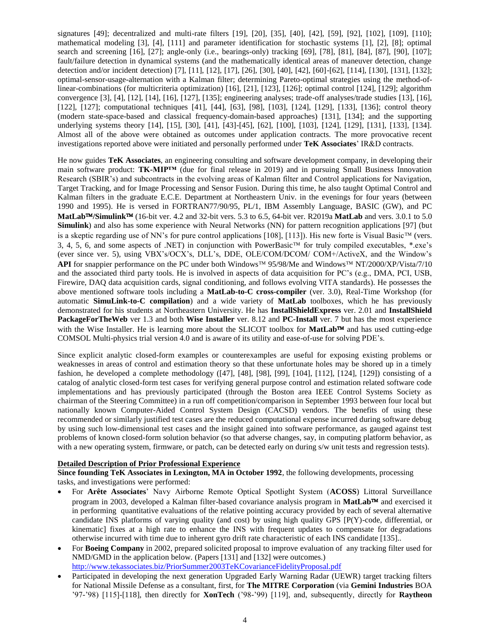signatures [49]; decentralized and multi-rate filters [19], [20], [35], [40], [42], [59], [92], [102], [109], [110]; mathematical modeling [3], [4], [111] and parameter identification for stochastic systems [1], [2], [8]; optimal search and screening [16], [27]; angle-only (i.e., bearings-only) tracking [69], [78], [81], [84], [87], [90], [107]; fault/failure detection in dynamical systems (and the mathematically identical areas of maneuver detection, change detection and/or incident detection) [7], [11], [12], [17], [26], [30], [40], [42], [60]-[62], [114], [130], [131], [132]; optimal-sensor-usage-alternation with a Kalman filter; determining Pareto-optimal strategies using the method-oflinear-combinations (for multicriteria optimization) [16], [21], [123], [126]; optimal control [124], [129]; algorithm convergence [3], [4], [12], [14], [16], [127], [135]; engineering analyses; trade-off analyses/trade studies [13], [16], [122], [127]; computational techniques [41], [44], [63], [98], [103], [124], [129], [133], [136]; control theory (modern state-space-based and classical frequency-domain-based approaches) [131], [134]; and the supporting underlying systems theory [14], [15], [30], [41], [43]-[45], [62], [100], [103], [124], [129], [131], [133], [134]. Almost all of the above were obtained as outcomes under application contracts. The more provocative recent investigations reported above were initiated and personally performed under **TeK Associates**' IR&D contracts.

He now guides **TeK Associates**, an engineering consulting and software development company, in developing their main software product: **TK-MIP™** (due for final release in 2019) and in pursuing Small Business Innovation Research (SBIR's) and subcontracts in the evolving areas of Kalman filter and Control applications for Navigation, Target Tracking, and for Image Processing and Sensor Fusion. During this time, he also taught Optimal Control and Kalman filters in the graduate E.C.E. Department at Northeastern Univ. in the evenings for four years (between 1990 and 1995). He is versed in FORTRAN77/90/95, PL/1, IBM Assembly Language, BASIC (GW), and PC MatLab<sup>TM</sup>/Simulink<sup>TM</sup> (16-bit ver. 4.2 and 32-bit vers. 5.3 to 6.5, 64-bit ver. R2019a MatLab and vers. 3.0.1 to 5.0 **Simulink**) and also has some experience with Neural Networks (NN) for pattern recognition applications [97] (but is a skeptic regarding use of NN's for pure control applications [108], [113]). His new forte is Visual Basic<sup>TM</sup> (vers. 3, 4, 5, 6, and some aspects of .NET) in conjunction with PowerBasic<sup>TM</sup> for truly compiled executables, \*.exe's (ever since ver. 5), using VBX's/OCX's, DLL's, DDE, OLE/COM/DCOM/ COM+/ActiveX, and the Window's **API** for snappier performance on the PC under both Windows<sup>TM</sup> 95/98/Me and Windows<sup>TM</sup> NT/2000/XP/Vista/7/10 and the associated third party tools. He is involved in aspects of data acquisition for PC's (e.g., DMA, PCI, USB, Firewire, DAQ data acquisition cards, signal conditioning, and follows evolving VITA standards). He possesses the above mentioned software tools including a **MatLab-to-C cross-compiler** (ver. 3.0), Real-Time Workshop (for automatic **SimuLink-to-C compilation**) and a wide variety of **MatLab** toolboxes, which he has previously demonstrated for his students at Northeastern University. He has **InstallShieldExpress** ver. 2.01 and **InstallShield PackageForTheWeb** ver 1.3 and both **Wise Installer** ver. 8.12 and **PC-Install** ver. 7 but has the most experience with the Wise Installer. He is learning more about the SLICOT toolbox for **MatLab<sup>TM</sup>** and has used cutting-edge COMSOL Multi-physics trial version 4.0 and is aware of its utility and ease-of-use for solving PDE's.

Since explicit analytic closed-form examples or counterexamples are useful for exposing existing problems or weaknesses in areas of control and estimation theory so that these unfortunate holes may be shored up in a timely fashion, he developed a complete methodology ([47], [48], [98], [99], [104], [112], [124], [129]) consisting of a catalog of analytic closed-form test cases for verifying general purpose control and estimation related software code implementations and has previously participated (through the Boston area IEEE Control Systems Society as chairman of the Steering Committee) in a run off competition/comparison in September 1993 between four local but nationally known Computer-Aided Control System Design (CACSD) vendors. The benefits of using these recommended or similarly justified test cases are the reduced computational expense incurred during software debug by using such low-dimensional test cases and the insight gained into software performance, as gauged against test problems of known closed-form solution behavior (so that adverse changes, say, in computing platform behavior, as with a new operating system, firmware, or patch, can be detected early on during s/w unit tests and regression tests).

#### **Detailed Description of Prior Professional Experience**

**Since founding TeK Associates in Lexington, MA in October 1992**, the following developments, processing tasks, and investigations were performed:

- For **Arête Associates**' Navy Airborne Remote Optical Spotlight System (**ACOSS**) Littoral Surveillance program in 2003, developed a Kalman filter-based covariance analysis program in **MatLab**<sup>TM</sup> and exercised it in performing quantitative evaluations of the relative pointing accuracy provided by each of several alternative candidate INS platforms of varying quality (and cost) by using high quality GPS [P(Y)-code, differential, or kinematic] fixes at a high rate to enhance the INS with frequent updates to compensate for degradations otherwise incurred with time due to inherent gyro drift rate characteristic of each INS candidate [135]..
- For **Boeing Company** in 2002, prepared solicited proposal to improve evaluation of any tracking filter used for NMD/GMD in the application below. (Papers [131] and [132] were outcomes.) <http://www.tekassociates.biz/PriorSummer2003TeKCovarianceFidelityProposal.pdf>
- Participated in developing the next generation Upgraded Early Warning Radar (UEWR) target tracking filters for National Missile Defense as a consultant, first, for **The MITRE Corporation** (via **Gemini Industries** BOA '97-'98) [115]-[118], then directly for **XonTech** ('98-'99) [119], and, subsequently, directly for **Raytheon**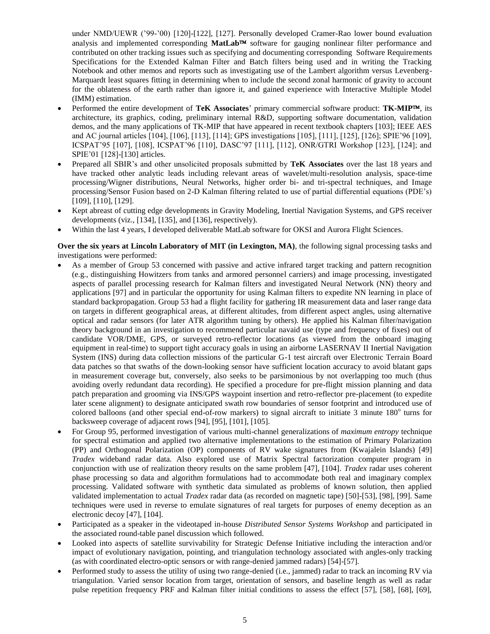under NMD/UEWR ('99-'00) [120]-[122], [127]. Personally developed Cramer-Rao lower bound evaluation analysis and implemented corresponding  $\text{MatLab}^{\text{TM}}$  software for gauging nonlinear filter performance and contributed on other tracking issues such as specifying and documenting corresponding Software Requirements Specifications for the Extended Kalman Filter and Batch filters being used and in writing the Tracking Notebook and other memos and reports such as investigating use of the Lambert algorithm versus Levenberg-Marquardt least squares fitting in determining when to include the second zonal harmonic of gravity to account for the oblateness of the earth rather than ignore it, and gained experience with Interactive Multiple Model (IMM) estimation.

- Performed the entire development of **TeK Associates**' primary commercial software product: **TK-MIP**, its architecture, its graphics, coding, preliminary internal R&D, supporting software documentation, validation demos, and the many applications of TK-MIP that have appeared in recent textbook chapters [103]; IEEE AES and AC journal articles [104], [106], [113], [114]; GPS investigations [105], [111], [125], [126]; SPIE'96 [109], ICSPAT'95 [107], [108], ICSPAT'96 [110], DASC'97 [111], [112], ONR/GTRI Workshop [123], [124]; and SPIE'01 [128]-[130] articles.
- Prepared all SBIR's and other unsolicited proposals submitted by **TeK Associates** over the last 18 years and have tracked other analytic leads including relevant areas of wavelet/multi-resolution analysis, space-time processing/Wigner distributions, Neural Networks, higher order bi- and tri-spectral techniques, and Image processing/Sensor Fusion based on 2-D Kalman filtering related to use of partial differential equations (PDE's) [109], [110], [129].
- Kept abreast of cutting edge developments in Gravity Modeling, Inertial Navigation Systems, and GPS receiver developments (viz., [134], [135], and [136], respectively).
- Within the last 4 years, I developed deliverable MatLab software for OKSI and Aurora Flight Sciences.

**Over the six years at Lincoln Laboratory of MIT (in Lexington, MA)**, the following signal processing tasks and investigations were performed:

- As a member of Group 53 concerned with passive and active infrared target tracking and pattern recognition (e.g., distinguishing Howitzers from tanks and armored personnel carriers) and image processing, investigated aspects of parallel processing research for Kalman filters and investigated Neural Network (NN) theory and applications [97] and in particular the opportunity for using Kalman filters to expedite NN learning in place of standard backpropagation. Group 53 had a flight facility for gathering IR measurement data and laser range data on targets in different geographical areas, at different altitudes, from different aspect angles, using alternative optical and radar sensors (for later ATR algorithm tuning by others). He applied his Kalman filter/navigation theory background in an investigation to recommend particular navaid use (type and frequency of fixes) out of candidate VOR/DME, GPS, or surveyed retro-reflector locations (as viewed from the onboard imaging equipment in real-time) to support tight accuracy goals in using an airborne LASERNAV II Inertial Navigation System (INS) during data collection missions of the particular G-1 test aircraft over Electronic Terrain Board data patches so that swaths of the down-looking sensor have sufficient location accuracy to avoid blatant gaps in measurement coverage but, conversely, also seeks to be parsimonious by not overlapping too much (thus avoiding overly redundant data recording). He specified a procedure for pre-flight mission planning and data patch preparation and grooming via INS/GPS waypoint insertion and retro-reflector pre-placement (to expedite later scene alignment) to designate anticipated swath row boundaries of sensor footprint and introduced use of colored balloons (and other special end-of-row markers) to signal aircraft to initiate 3 minute 180° turns for backsweep coverage of adjacent rows [94], [95], [101], [105].
- For Group 95, performed investigation of various multi-channel generalizations of *maximum entropy* technique for spectral estimation and applied two alternative implementations to the estimation of Primary Polarization (PP) and Orthogonal Polarization (OP) components of RV wake signatures from (Kwajalein Islands) [49] *Tradex* wideband radar data. Also explored use of Matrix Spectral factorization computer program in conjunction with use of realization theory results on the same problem [47], [104]. *Tradex* radar uses coherent phase processing so data and algorithm formulations had to accommodate both real and imaginary complex processing. Validated software with synthetic data simulated as problems of known solution, then applied validated implementation to actual *Tradex* radar data (as recorded on magnetic tape) [50]-[53], [98], [99]. Same techniques were used in reverse to emulate signatures of real targets for purposes of enemy deception as an electronic decoy [47], [104].
- Participated as a speaker in the videotaped in-house *Distributed Sensor Systems Workshop* and participated in the associated round-table panel discussion which followed.
- Looked into aspects of satellite survivability for Strategic Defense Initiative including the interaction and/or impact of evolutionary navigation, pointing, and triangulation technology associated with angles-only tracking (as with coordinated electro-optic sensors or with range-denied jammed radars) [54]-[57].
- Performed study to assess the utility of using two range-denied (i.e., jammed) radar to track an incoming RV via triangulation. Varied sensor location from target, orientation of sensors, and baseline length as well as radar pulse repetition frequency PRF and Kalman filter initial conditions to assess the effect [57], [58], [68], [69],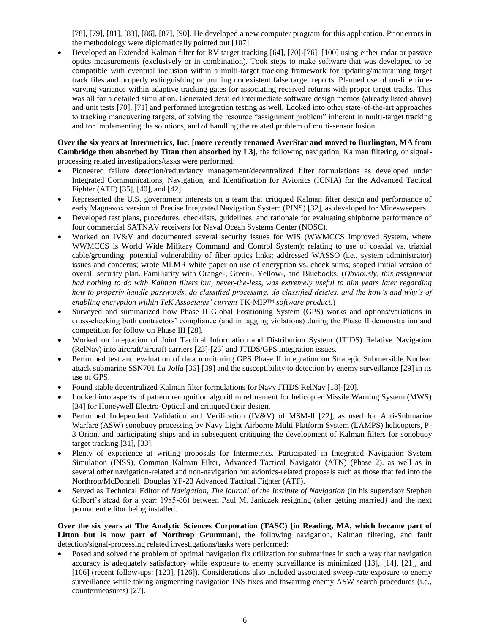[78], [79], [81], [83], [86], [87], [90]. He developed a new computer program for this application. Prior errors in the methodology were diplomatically pointed out [107].

 Developed an Extended Kalman filter for RV target tracking [64], [70]-[76], [100] using either radar or passive optics measurements (exclusively or in combination). Took steps to make software that was developed to be compatible with eventual inclusion within a multi-target tracking framework for updating/maintaining target track files and properly extinguishing or pruning nonexistent false target reports. Planned use of on-line timevarying variance within adaptive tracking gates for associating received returns with proper target tracks. This was all for a detailed simulation. Generated detailed intermediate software design memos (already listed above) and unit tests [70], [71] and performed integration testing as well. Looked into other state-of-the-art approaches to tracking maneuvering targets, of solving the resource "assignment problem" inherent in multi-target tracking and for implementing the solutions, and of handling the related problem of multi-sensor fusion.

#### **Over the six years at Intermetrics, Inc**. **[more recently renamed AverStar and moved to Burlington, MA from Cambridge then absorbed by Titan then absorbed by L3]**, the following navigation, Kalman filtering, or signalprocessing related investigations/tasks were performed:

- Pioneered failure detection/redundancy management/decentralized filter formulations as developed under Integrated Communications, Navigation, and Identification for Avionics (ICNIA) for the Advanced Tactical Fighter (ATF) [35], [40], and [42].
- Represented the U.S. government interests on a team that critiqued Kalman filter design and performance of early Magnavox version of Precise Integrated Navigation System (PINS) [32], as developed for Minesweepers.
- Developed test plans, procedures, checklists, guidelines, and rationale for evaluating shipborne performance of four commercial SATNAV receivers for Naval Ocean Systems Center (NOSC).
- Worked on IV&V and documented several security issues for WIS (WWMCCS Improved System, where WWMCCS is World Wide Military Command and Control System): relating to use of coaxial vs. triaxial cable/grounding; potential vulnerability of fiber optics links; addressed WASSO (i.e., system administrator) issues and concerns; wrote MLMR white paper on use of encryption vs. check sums; scoped initial version of overall security plan. Familiarity with Orange-, Green-, Yellow-, and Bluebooks. (*Obviously, this assignment had nothing to do with Kalman filters but, never-the-less, was extremely useful to him years later regarding how to properly handle passwords, do classified processing, do classified deletes, and the how's and why's of enabling encryption within TeK Associates' current* TK-MIP<sup>TM</sup> *software product.*)
- Surveyed and summarized how Phase II Global Positioning System (GPS) works and options/variations in cross-checking both contractors' compliance (and in tagging violations) during the Phase II demonstration and competition for follow-on Phase III [28].
- Worked on integration of Joint Tactical Information and Distribution System (JTIDS) Relative Navigation (RelNav) into aircraft/aircraft carriers [23]-[25] and JTIDS/GPS integration issues.
- Performed test and evaluation of data monitoring GPS Phase II integration on Strategic Submersible Nuclear attack submarine SSN701 *La Jolla* [36]-[39] and the susceptibility to detection by enemy surveillance [29] in its use of GPS.
- Found stable decentralized Kalman filter formulations for Navy JTIDS RelNav [18]-[20].
- Looked into aspects of pattern recognition algorithm refinement for helicopter Missile Warning System (MWS) [34] for Honeywell Electro-Optical and critiqued their design.
- Performed Independent Validation and Verification (IV&V) of MSM-ll [22], as used for Anti-Submarine Warfare (ASW) sonobuoy processing by Navy Light Airborne Multi Platform System (LAMPS) helicopters, P-3 Orion, and participating ships and in subsequent critiquing the development of Kalman filters for sonobuoy target tracking [31], [33].
- Plenty of experience at writing proposals for Intermetrics. Participated in Integrated Navigation System Simulation (INSS), Common Kalman Filter, Advanced Tactical Navigator (ATN) (Phase 2), as well as in several other navigation-related and non-navigation but avionics-related proposals such as those that fed into the Northrop/McDonnell Douglas YF-23 Advanced Tactical Fighter (ATF).
- Served as Technical Editor of *Navigation, The journal of the Institute of Navigation* (in his supervisor Stephen Gilbert's stead for a year: 1985-86) between Paul M. Janiczek resigning (after getting married} and the next permanent editor being installed.

**Over the six years at The Analytic Sciences Corporation (TASC) [in Reading, MA, which became part of**  Litton but is now part of Northrop Grumman], the following navigation, Kalman filtering, and fault detection/signal-processing related investigations/tasks were performed:

 Posed and solved the problem of optimal navigation fix utilization for submarines in such a way that navigation accuracy is adequately satisfactory while exposure to enemy surveillance is minimized [13], [14], [21], and [106] (recent follow-ups: [123], [126]). Considerations also included associated sweep-rate exposure to enemy surveillance while taking augmenting navigation INS fixes and thwarting enemy ASW search procedures (i.e., countermeasures) [27].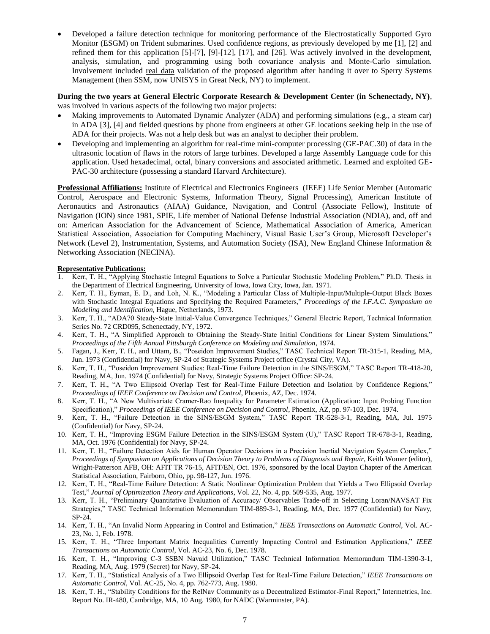Developed a failure detection technique for monitoring performance of the Electrostatically Supported Gyro Monitor (ESGM) on Trident submarines. Used confidence regions, as previously developed by me [1], [2] and refined them for this application [5]-[7], [9]-[12], [17], and [26]. Was actively involved in the development, analysis, simulation, and programming using both covariance analysis and Monte-Carlo simulation. Involvement included real data validation of the proposed algorithm after handing it over to Sperry Systems Management (then SSM, now UNISYS in Great Neck, NY) to implement.

**During the two years at General Electric Corporate Research & Development Center (in Schenectady, NY)**, was involved in various aspects of the following two major projects:

- Making improvements to Automated Dynamic Analyzer (ADA) and performing simulations (e.g., a steam car) in ADA [3], [4] and fielded questions by phone from engineers at other GE locations seeking help in the use of ADA for their projects. Was not a help desk but was an analyst to decipher their problem.
- Developing and implementing an algorithm for real-time mini-computer processing (GE-PAC.30) of data in the ultrasonic location of flaws in the rotors of large turbines. Developed a large Assembly Language code for this application. Used hexadecimal, octal, binary conversions and associated arithmetic. Learned and exploited GE-PAC-30 architecture (possessing a standard Harvard Architecture).

**Professional Affiliations:** Institute of Electrical and Electronics Engineers (IEEE) Life Senior Member (Automatic Control, Aerospace and Electronic Systems, Information Theory, Signal Processing), American Institute of Aeronautics and Astronautics (AIAA) Guidance, Navigation, and Control (Associate Fellow), Institute of Navigation (ION) since 1981, SPIE, Life member of National Defense Industrial Association (NDIA), and, off and on: American Association for the Advancement of Science, Mathematical Association of America, American Statistical Association, Association for Computing Machinery, Visual Basic User's Group, Microsoft Developer's Network (Level 2), Instrumentation, Systems, and Automation Society (ISA), New England Chinese Information & Networking Association (NECINA).

#### **Representative Publications:**

- 1. Kerr, T. H., "Applying Stochastic Integral Equations to Solve a Particular Stochastic Modeling Problem," Ph.D. Thesis in the Department of Electrical Engineering, University of Iowa, Iowa City, Iowa, Jan. 1971.
- 2. Kerr, T. H., Eyman, E. D., and Loh, N. K., "Modeling a Particular Class of Multiple-Input/Multiple-Output Black Boxes with Stochastic Integral Equations and Specifying the Required Parameters," *Proceedings of the I.F.A.C. Symposium on Modeling and Identification*, Hague, Netherlands, 1973.
- 3. Kerr, T. H., "ADA70 Steady-State Initial-Value Convergence Techniques," General Electric Report, Technical Information Series No. 72 CRD095, Schenectady, NY, 1972.
- 4. Kerr, T. H., "A Simplified Approach to Obtaining the Steady-State Initial Conditions for Linear System Simulations," *Proceedings of the Fifth Annual Pittsburgh Conference on Modeling and Simulation*, 1974.
- 5. Fagan, J., Kerr, T. H., and Uttam, B., "Poseidon Improvement Studies," TASC Technical Report TR-315-1, Reading, MA, Jun. 1973 (Confidential) for Navy, SP-24 of Strategic Systems Project office (Crystal City, VA).
- 6. Kerr, T. H., "Poseidon Improvement Studies: Real-Time Failure Detection in the SINS/ESGM," TASC Report TR-418-20, Reading, MA, Jun. 1974 (Confidential) for Navy, Strategic Systems Project Office: SP-24.
- 7. Kerr, T. H., "A Two Ellipsoid Overlap Test for Real-Time Failure Detection and Isolation by Confidence Regions," *Proceedings of IEEE Conference on Decision and Control*, Phoenix, AZ, Dec. 1974.
- 8. Kerr, T. H., "A New Multivariate Cramer-Rao Inequality for Parameter Estimation (Application: Input Probing Function Specification)," *Proceedings of IEEE Conference on Decision and Control*, Phoenix, AZ, pp. 97-103, Dec. 1974.
- 9. Kerr, T. H., "Failure Detection in the SINS/ESGM System," TASC Report TR-528-3-1, Reading, MA, Jul. 1975 (Confidential) for Navy, SP-24.
- 10. Kerr, T. H., "Improving ESGM Failure Detection in the SINS/ESGM System (U)," TASC Report TR-678-3-1, Reading, MA, Oct. 1976 (Confidential) for Navy, SP-24.
- 11. Kerr, T. H., "Failure Detection Aids for Human Operator Decisions in a Precision Inertial Navigation System Complex," *Proceedings of Symposium on Applications of Decision Theory to Problems of Diagnosis and Repair*, Keith Womer (editor), Wright-Patterson AFB, OH: AFIT TR 76-15, AFIT/EN, Oct. 1976, sponsored by the local Dayton Chapter of the American Statistical Association, Fairborn, Ohio, pp. 98-127, Jun. 1976.
- 12. Kerr, T. H., "Real-Time Failure Detection: A Static Nonlinear Optimization Problem that Yields a Two Ellipsoid Overlap Test," *Journal of Optimization Theory and Applications*, Vol. 22, No. 4, pp. 509-535, Aug. 1977.
- 13. Kerr, T. H., "Preliminary Quantitative Evaluation of Accuracy/ Observables Trade-off in Selecting Loran/NAVSAT Fix Strategies," TASC Technical Information Memorandum TIM-889-3-1, Reading, MA, Dec. 1977 (Confidential) for Navy, SP-24.
- 14. Kerr, T. H., "An Invalid Norm Appearing in Control and Estimation," *IEEE Transactions on Automatic Control*, Vol. AC-23, No. 1, Feb. 1978.
- 15. Kerr, T. H., "Three Important Matrix Inequalities Currently Impacting Control and Estimation Applications," *IEEE Transactions on Automatic Control*, Vol. AC-23, No. 6, Dec. 1978.
- 16. Kerr, T. H., "Improving C-3 SSBN Navaid Utilization," TASC Technical Information Memorandum TIM-1390-3-1, Reading, MA, Aug. 1979 (Secret) for Navy, SP-24.
- 17. Kerr, T. H., "Statistical Analysis of a Two Ellipsoid Overlap Test for Real-Time Failure Detection," *IEEE Transactions on Automatic Control*, Vol. AC-25, No. 4, pp. 762-773, Aug. 1980.
- 18. Kerr, T. H., "Stability Conditions for the RelNav Community as a Decentralized Estimator-Final Report," Intermetrics, Inc. Report No. IR-480, Cambridge, MA, 10 Aug. 1980, for NADC (Warminster, PA).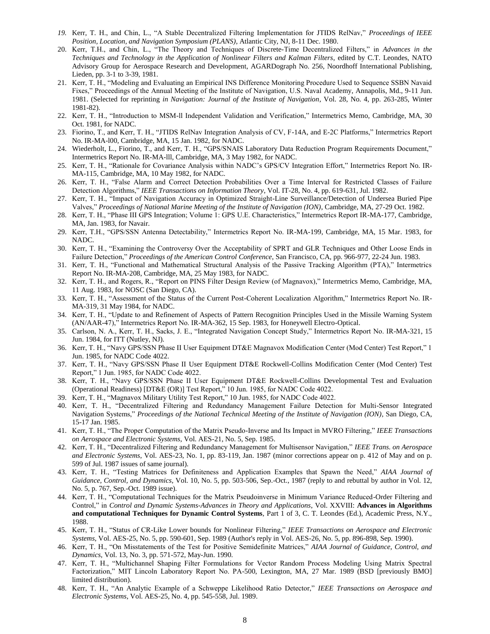- *19.* Kerr, T. H., and Chin, L., "A Stable Decentralized Filtering Implementation for JTIDS RelNav," *Proceedings of IEEE Position, Location, and Navigation Symposium (PLANS)*, Atlantic City, NJ, 8-11 Dec. 1980.
- 20. Kerr, T.H., and Chin, L., "The Theory and Techniques of Discrete-Time Decentralized Filters," in *Advances in the Techniques and Technology in the Application of Nonlinear Filters and Kalman Filters*, edited by C.T. Leondes, NATO Advisory Group for Aerospace Research and Development, AGARDograph No. 256, Noordhoff International Publishing, Lieden, pp. 3-1 to 3-39, 1981.
- 21. Kerr, T. H., "Modeling and Evaluating an Empirical INS Difference Monitoring Procedure Used to Sequence SSBN Navaid Fixes," Proceedings of the Annual Meeting of the Institute of Navigation, U.S. Naval Academy, Annapolis, Md., 9-11 Jun. 1981. (Selected for reprinting *in Navigation: Journal of the Institute of Navigation*, Vol. 28, No. 4, pp. 263-285, Winter 1981-82).
- 22. Kerr, T. H., "Introduction to MSM-ll Independent Validation and Verification," Intermetrics Memo, Cambridge, MA, 30 Oct. 1981, for NADC.
- 23. Fiorino, T., and Kerr, T. H., "JTIDS RelNav Integration Analysis of CV, F-14A, and E-2C Platforms," Intermetrics Report No. IR-MA-l00, Cambridge, MA, 15 Jan. 1982, for NADC.
- 24. Wiederholt, L., Fiorino, T., and Kerr, T. H., "GPS/SNAIS Laboratory Data Reduction Program Requirements Document," Intermetrics Report No. IR-MA-lll, Cambridge, MA, 3 May 1982, for NADC.
- 25. Kerr, T. H., "Rationale for Covariance Analysis within NADC's GPS/CV Integration Effort," Intermetrics Report No. IR-MA-115, Cambridge, MA, 10 May 1982, for NADC.
- 26. Kerr, T. H., "False Alarm and Correct Detection Probabilities Over a Time Interval for Restricted Classes of Failure Detection Algorithms," *IEEE Transactions on Information Theory*, Vol. IT-28, No. 4, pp. 619-631, Jul. 1982.
- 27. Kerr, T. H., "Impact of Navigation Accuracy in Optimized Straight-Line Surveillance/Detection of Undersea Buried Pipe Valves," *Proceedings of National Marine Meeting of the Institute of Navigation (ION)*, Cambridge, MA, 27-29 Oct. 1982.
- 28. Kerr, T. H., "Phase III GPS Integration; Volume 1: GPS U.E. Characteristics," Intermetrics Report IR-MA-177, Cambridge, MA, Jan. 1983, for Navair.
- 29. Kerr, T.H., "GPS/SSN Antenna Detectability," Intermetrics Report No. IR-MA-199, Cambridge, MA, 15 Mar. 1983, for NADC.
- 30. Kerr, T. H., "Examining the Controversy Over the Acceptability of SPRT and GLR Techniques and Other Loose Ends in Failure Detection," *Proceedings of the American Control Conference*, San Francisco, CA, pp. 966-977, 22-24 Jun. 1983.
- 31. Kerr, T. H., "Functional and Mathematical Structural Analysis of the Passive Tracking Algorithm (PTA)," Intermetrics Report No. IR-MA-208, Cambridge, MA, 25 May 1983, for NADC.
- 32. Kerr, T. H., and Rogers, R., "Report on PINS Filter Design Review (of Magnavox)," Intermetrics Memo, Cambridge, MA, 11 Aug. 1983, for NOSC (San Diego, CA).
- 33. Kerr, T. H., "Assessment of the Status of the Current Post-Coherent Localization Algorithm," Intermetrics Report No. IR-MA-319, 31 May 1984, for NADC.
- 34. Kerr, T. H., "Update to and Refinement of Aspects of Pattern Recognition Principles Used in the Missile Warning System (AN/AAR-47)," Intermetrics Report No. IR-MA-362, 15 Sep. 1983, for Honeywell Electro-Optical.
- 35. Carlson, N. A., Kerr, T. H., Sacks, J. E., "Integrated Navigation Concept Study," Intermetrics Report No. IR-MA-321, 15 Jun. 1984, for ITT (Nutley, NJ).
- 36. Kerr, T. H., "Navy GPS/SSN Phase II User Equipment DT&E Magnavox Modification Center (Mod Center) Test Report," 1 Jun. 1985, for NADC Code 4022.
- 37. Kerr, T. H., "Navy GPS/SSN Phase II User Equipment DT&E Rockwell-Collins Modification Center (Mod Center) Test Report," 1 Jun. 1985, for NADC Code 4022.
- 38. Kerr, T. H., "Navy GPS/SSN Phase II User Equipment DT&E Rockwell-Collins Developmental Test and Evaluation (Operational Readiness) [DT&E (OR)] Test Report," 10 Jun. 1985, for NADC Code 4022.
- 39. Kerr, T. H., "Magnavox Military Utility Test Report," 10 Jun. 1985, for NADC Code 4022.
- 40. Kerr, T. H., "Decentralized Filtering and Redundancy Management Failure Detection for Multi-Sensor Integrated Navigation Systems," *Proceedings of the National Technical Meeting of the Institute of Navigation (ION)*, San Diego, CA, 15-17 Jan. 1985.
- 41. Kerr, T. H., "The Proper Computation of the Matrix Pseudo-Inverse and Its Impact in MVRO Filtering," *IEEE Transactions on Aerospace and Electronic Systems*, Vol. AES-21, No. 5, Sep. 1985.
- 42. Kerr, T. H., "Decentralized Filtering and Redundancy Management for Multisensor Navigation," *IEEE Trans. on Aerospace and Electronic Systems*, Vol. AES-23, No. 1, pp. 83-119, Jan. 1987 (minor corrections appear on p. 412 of May and on p. 599 of Jul. 1987 issues of same journal).
- 43. Kerr, T. H., "Testing Matrices for Definiteness and Application Examples that Spawn the Need," *AIAA Journal of Guidance, Control, and Dynamics*, Vol. 10, No. 5, pp. 503-506, Sep.-Oct., 1987 (reply to and rebuttal by author in Vol. 12, No. 5, p. 767, Sep.-Oct. 1989 issue).
- 44. Kerr, T. H., "Computational Techniques for the Matrix Pseudoinverse in Minimum Variance Reduced-Order Filtering and Control," in *Control and Dynamic Systems-Advances in Theory and Applications*, Vol. XXVIII: **Advances in Algorithms and computational Techniques for Dynamic Control Systems**, Part 1 of 3, C. T. Leondes (Ed.), Academic Press, N.Y., 1988.
- 45. Kerr, T. H., "Status of CR-Like Lower bounds for Nonlinear Filtering," *IEEE Transactions on Aerospace and Electronic Systems*, Vol. AES-25, No. 5, pp. 590-601, Sep. 1989 (Author's reply in Vol. AES-26, No. 5, pp. 896-898, Sep. 1990).
- 46. Kerr, T. H., "On Misstatements of the Test for Positive Semidefinite Matrices," *AIAA Journal of Guidance, Control, and Dynamics*, Vol. 13, No. 3, pp. 571-572, May-Jun. 1990.
- 47. Kerr, T. H., "Multichannel Shaping Filter Formulations for Vector Random Process Modeling Using Matrix Spectral Factorization," MIT Lincoln Laboratory Report No. PA-500, Lexington, MA, 27 Mar. 1989 (BSD [previously BMO] limited distribution).
- 48. Kerr, T. H., "An Analytic Example of a Schweppe Likelihood Ratio Detector," *IEEE Transactions on Aerospace and Electronic Systems*, Vol. AES-25, No. 4, pp. 545-558, Jul. 1989.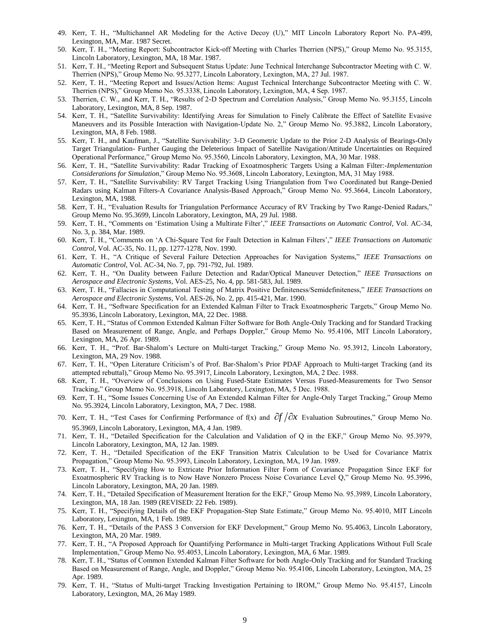- 49. Kerr, T. H., "Multichannel AR Modeling for the Active Decoy (U)," MIT Lincoln Laboratory Report No. PA-499, Lexington, MA, Mar. 1987 Secret.
- 50. Kerr, T. H., "Meeting Report: Subcontractor Kick-off Meeting with Charles Therrien (NPS)," Group Memo No. 95.3155, Lincoln Laboratory, Lexington, MA, 18 Mar. 1987.
- 51. Kerr, T. H., "Meeting Report and Subsequent Status Update: June Technical Interchange Subcontractor Meeting with C. W. Therrien (NPS)," Group Memo No. 95.3277, Lincoln Laboratory, Lexington, MA, 27 Jul. 1987.
- 52. Kerr, T. H., "Meeting Report and Issues/Action Items: August Technical Interchange Subcontractor Meeting with C. W. Therrien (NPS)," Group Memo No. 95.3338, Lincoln Laboratory, Lexington, MA, 4 Sep. 1987.
- 53. Therrien, C. W., and Kerr, T. H., "Results of 2-D Spectrum and Correlation Analysis," Group Memo No. 95.3155, Lincoln Laboratory, Lexington, MA, 8 Sep. 1987.
- 54. Kerr, T. H., "Satellite Survivability: Identifying Areas for Simulation to Finely Calibrate the Effect of Satellite Evasive Maneuvers and its Possible Interaction with Navigation-Update No. 2," Group Memo No. 95.3882, Lincoln Laboratory, Lexington, MA, 8 Feb. 1988.
- 55. Kerr, T. H., and Kaufman, J., "Satellite Survivability: 3-D Geometric Update to the Prior 2-D Analysis of Bearings-Only Target Triangulation- Further Gauging the Deleterious Impact of Satellite Navigation/Attitude Uncertainties on Required Operational Performance," Group Memo No. 95.3560, Lincoln Laboratory, Lexington, MA, 30 Mar. 1988.
- 56. Kerr, T. H., "Satellite Survivability: Radar Tracking of Exoatmospheric Targets Using a Kalman Filter:-*Implementation Considerations for Simulation*," Group Memo No. 95.3608, Lincoln Laboratory, Lexington, MA, 31 May 1988.
- 57. Kerr, T. H., "Satellite Survivability: RV Target Tracking Using Triangulation from Two Coordinated but Range-Denied Radars using Kalman Filters-A Covariance Analysis-Based Approach," Group Memo No. 95.3664, Lincoln Laboratory, Lexington, MA, 1988.
- 58. Kerr, T. H., "Evaluation Results for Triangulation Performance Accuracy of RV Tracking by Two Range-Denied Radars," Group Memo No. 95.3699, Lincoln Laboratory, Lexington, MA, 29 Jul. 1988.
- 59. Kerr, T. H., "Comments on 'Estimation Using a Multirate Filter'," *IEEE Transactions on Automatic Control*, Vol. AC-34, No. 3, p. 384, Mar. 1989.
- 60. Kerr, T. H., "Comments on 'A Chi-Square Test for Fault Detection in Kalman Filters'," *IEEE Transactions on Automatic Control*, Vol. AC-35, No. 11, pp. 1277-1278, Nov. 1990.
- 61. Kerr, T. H., "A Critique of Several Failure Detection Approaches for Navigation Systems," *IEEE Transactions on Automatic Control*, Vol. AC-34, No. 7, pp. 791-792, Jul. 1989.
- 62. Kerr, T. H., "On Duality between Failure Detection and Radar/Optical Maneuver Detection," *IEEE Transactions on Aerospace and Electronic Systems*, Vol. AES-25, No. 4, pp. 581-583, Jul. 1989.
- 63. Kerr, T. H., "Fallacies in Computational Testing of Matrix Positive Definiteness/Semidefiniteness," *IEEE Transactions on Aerospace and Electronic Systems*, Vol. AES-26, No. 2, pp. 415-421, Mar. 1990.
- 64. Kerr, T. H., "Software Specification for an Extended Kalman Filter to Track Exoatmospheric Targets," Group Memo No. 95.3936, Lincoln Laboratory, Lexington, MA, 22 Dec. 1988.
- 65. Kerr, T. H., "Status of Common Extended Kalman Filter Software for Both Angle-Only Tracking and for Standard Tracking Based on Measurement of Range, Angle, and Perhaps Doppler," Group Memo No. 95.4106, MIT Lincoln Laboratory, Lexington, MA, 26 Apr. 1989.
- 66. Kerr, T. H., "Prof. Bar-Shalom's Lecture on Multi-target Tracking," Group Memo No. 95.3912, Lincoln Laboratory, Lexington, MA, 29 Nov. 1988.
- 67. Kerr, T. H., "Open Literature Criticism's of Prof. Bar-Shalom's Prior PDAF Approach to Multi-target Tracking (and its attempted rebuttal)," Group Memo No. 95.3917, Lincoln Laboratory, Lexington, MA, 2 Dec. 1988.
- 68. Kerr, T. H., "Overview of Conclusions on Using Fused-State Estimates Versus Fused-Measurements for Two Sensor Tracking," Group Memo No. 95.3918, Lincoln Laboratory, Lexington, MA, 5 Dec. 1988.
- 69. Kerr, T. H., "Some Issues Concerning Use of An Extended Kalman Filter for Angle-Only Target Tracking," Group Memo No. 95.3924, Lincoln Laboratory, Lexington, MA, 7 Dec. 1988.
- 70. Kerr, T. H., "Test Cases for Confirming Performance of  $f(x)$  and  $\partial f/\partial x$  Evaluation Subroutines," Group Memo No. 95.3969, Lincoln Laboratory, Lexington, MA, 4 Jan. 1989.
- 71. Kerr, T. H., "Detailed Specification for the Calculation and Validation of Q in the EKF," Group Memo No. 95.3979, Lincoln Laboratory, Lexington, MA, 12 Jan. 1989.
- 72. Kerr, T. H., "Detailed Specification of the EKF Transition Matrix Calculation to be Used for Covariance Matrix Propagation," Group Memo No. 95.3993, Lincoln Laboratory, Lexington, MA, 19 Jan. 1989.
- 73. Kerr, T. H., "Specifying How to Extricate Prior Information Filter Form of Covariance Propagation Since EKF for Exoatmospheric RV Tracking is to Now Have Nonzero Process Noise Covariance Level Q," Group Memo No. 95.3996, Lincoln Laboratory, Lexington, MA, 20 Jan. 1989.
- 74. Kerr, T. H., "Detailed Specification of Measurement Iteration for the EKF," Group Memo No. 95.3989, Lincoln Laboratory, Lexington, MA, 18 Jan. 1989 (REVISED: 22 Feb. 1989).
- 75. Kerr, T. H., "Specifying Details of the EKF Propagation-Step State Estimate," Group Memo No. 95.4010, MIT Lincoln Laboratory, Lexington, MA, 1 Feb. 1989.
- 76. Kerr, T. H., "Details of the PASS 3 Conversion for EKF Development," Group Memo No. 95.4063, Lincoln Laboratory, Lexington, MA, 20 Mar. 1989.
- 77. Kerr, T. H., "A Proposed Approach for Quantifying Performance in Multi-target Tracking Applications Without Full Scale Implementation," Group Memo No. 95.4053, Lincoln Laboratory, Lexington, MA, 6 Mar. 1989.
- 78. Kerr, T. H., "Status of Common Extended Kalman Filter Software for both Angle-Only Tracking and for Standard Tracking Based on Measurement of Range, Angle, and Doppler," Group Memo No. 95.4106, Lincoln Laboratory, Lexington, MA, 25 Apr. 1989.
- 79. Kerr, T. H., "Status of Multi-target Tracking Investigation Pertaining to IROM," Group Memo No. 95.4157, Lincoln Laboratory, Lexington, MA, 26 May 1989.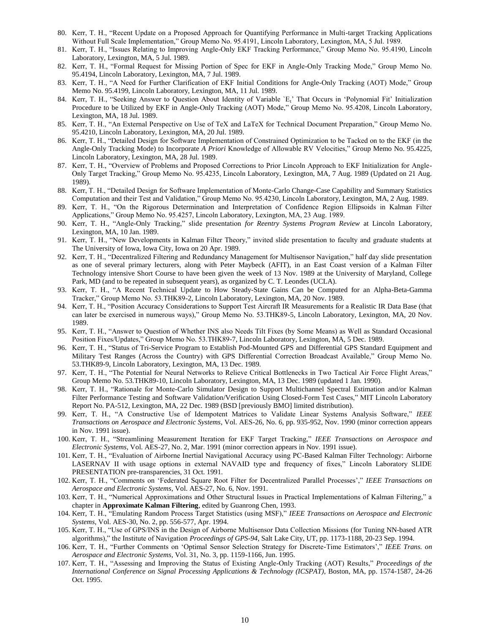- 80. Kerr, T. H., "Recent Update on a Proposed Approach for Quantifying Performance in Multi-target Tracking Applications Without Full Scale Implementation," Group Memo No. 95.4191, Lincoln Laboratory, Lexington, MA, 5 Jul. 1989.
- 81. Kerr, T. H., "Issues Relating to Improving Angle-Only EKF Tracking Performance," Group Memo No. 95.4190, Lincoln Laboratory, Lexington, MA, 5 Jul. 1989.
- 82. Kerr, T. H., "Formal Request for Missing Portion of Spec for EKF in Angle-Only Tracking Mode," Group Memo No. 95.4194, Lincoln Laboratory, Lexington, MA, 7 Jul. 1989.
- 83. Kerr, T. H., "A Need for Further Clarification of EKF Initial Conditions for Angle-Only Tracking (AOT) Mode," Group Memo No. 95.4199, Lincoln Laboratory, Lexington, MA, 11 Jul. 1989.
- 84. Kerr, T. H., "Seeking Answer to Question About Identity of Variable 'E<sub>t</sub>' That Occurs in 'Polynomial Fit' Initialization Procedure to be Utilized by EKF in Angle-Only Tracking (AOT) Mode," Group Memo No. 95.4208, Lincoln Laboratory, Lexington, MA, 18 Jul. 1989.
- 85. Kerr, T. H., "An External Perspective on Use of TeX and LaTeX for Technical Document Preparation," Group Memo No. 95.4210, Lincoln Laboratory, Lexington, MA, 20 Jul. 1989.
- 86. Kerr, T. H., "Detailed Design for Software Implementation of Constrained Optimization to be Tacked on to the EKF (in the Angle-Only Tracking Mode) to Incorporate *A Priori* Knowledge of Allowable RV Velocities," Group Memo No. 95.4225, Lincoln Laboratory, Lexington, MA, 28 Jul. 1989.
- 87. Kerr, T. H., "Overview of Problems and Proposed Corrections to Prior Lincoln Approach to EKF Initialization for Angle-Only Target Tracking," Group Memo No. 95.4235, Lincoln Laboratory, Lexington, MA, 7 Aug. 1989 (Updated on 21 Aug. 1989).
- 88. Kerr, T. H., "Detailed Design for Software Implementation of Monte-Carlo Change-Case Capability and Summary Statistics Computation and their Test and Validation," Group Memo No. 95.4230, Lincoln Laboratory, Lexington, MA, 2 Aug. 1989.
- 89. Kerr, T. H., "On the Rigorous Determination and Interpretation of Confidence Region Ellipsoids in Kalman Filter Applications," Group Memo No. 95.4257, Lincoln Laboratory, Lexington, MA, 23 Aug. 1989.
- 90. Kerr, T. H., "Angle-Only Tracking," slide presentation *for Reentry Systems Program Review* at Lincoln Laboratory, Lexington, MA, 10 Jan. 1989.
- 91. Kerr, T. H., "New Developments in Kalman Filter Theory," invited slide presentation to faculty and graduate students at The University of Iowa, Iowa City, Iowa on 20 Apr. 1989.
- 92. Kerr, T. H., "Decentralized Filtering and Redundancy Management for Multisensor Navigation," half day slide presentation as one of several primary lecturers, along with Peter Maybeck (AFIT), in an East Coast version of a Kalman Filter Technology intensive Short Course to have been given the week of 13 Nov. 1989 at the University of Maryland, College Park, MD (and to be repeated in subsequent years), as organized by C. T. Leondes (UCLA).
- 93. Kerr, T. H., "A Recent Technical Update to How Steady-State Gains Can be Computed for an Alpha-Beta-Gamma Tracker," Group Memo No. 53.THK89-2, Lincoln Laboratory, Lexington, MA, 20 Nov. 1989.
- 94. Kerr, T. H., "Position Accuracy Considerations to Support Test Aircraft IR Measurements for a Realistic IR Data Base (that can later be exercised in numerous ways)," Group Memo No. 53.THK89-5, Lincoln Laboratory, Lexington, MA, 20 Nov. 1989.
- 95. Kerr, T. H., "Answer to Question of Whether INS also Needs Tilt Fixes (by Some Means) as Well as Standard Occasional Position Fixes/Updates," Group Memo No. 53.THK89-7, Lincoln Laboratory, Lexington, MA, 5 Dec. 1989.
- 96. Kerr, T. H., "Status of Tri-Service Program to Establish Pod-Mounted GPS and Differential GPS Standard Equipment and Military Test Ranges (Across the Country) with GPS Differential Correction Broadcast Available," Group Memo No. 53.THK89-9, Lincoln Laboratory, Lexington, MA, 13 Dec. 1989.
- 97. Kerr, T. H., "The Potential for Neural Networks to Relieve Critical Bottlenecks in Two Tactical Air Force Flight Areas," Group Memo No. 53.THK89-10, Lincoln Laboratory, Lexington, MA, 13 Dec. 1989 (updated 1 Jan. 1990).
- 98. Kerr, T. H., "Rationale for Monte-Carlo Simulator Design to Support Multichannel Spectral Estimation and/or Kalman Filter Performance Testing and Software Validation/Verification Using Closed-Form Test Cases," MIT Lincoln Laboratory Report No. PA-512, Lexington, MA, 22 Dec. 1989 (BSD [previously BMO] limited distribution).
- 99. Kerr, T. H., "A Constructive Use of Idempotent Matrices to Validate Linear Systems Analysis Software," *IEEE Transactions on Aerospace and Electronic Systems*, Vol. AES-26, No. 6, pp. 935-952, Nov. 1990 (minor correction appears in Nov. 1991 issue).
- 100. Kerr, T. H., "Streamlining Measurement Iteration for EKF Target Tracking," *IEEE Transactions on Aerospace and Electronic Systems*, Vol. AES-27, No. 2, Mar. 1991 (minor correction appears in Nov. 1991 issue).
- 101. Kerr, T. H., "Evaluation of Airborne Inertial Navigational Accuracy using PC-Based Kalman Filter Technology: Airborne LASERNAV II with usage options in external NAVAID type and frequency of fixes," Lincoln Laboratory SLIDE PRESENTATION pre-transparencies, 31 Oct. 1991.
- 102. Kerr, T. H., "Comments on 'Federated Square Root Filter for Decentralized Parallel Processes'," *IEEE Transactions on Aerospace and Electronic Systems*, Vol. AES-27, No. 6, Nov. 1991.
- 103. Kerr, T. H., "Numerical Approximations and Other Structural Issues in Practical Implementations of Kalman Filtering," a chapter in **Approximate Kalman Filtering**, edited by Guanrong Chen, 1993.
- 104. Kerr, T. H., "Emulating Random Process Target Statistics (using MSF)," *IEEE Transactions on Aerospace and Electronic Systems*, Vol. AES-30, No. 2, pp. 556-577, Apr. 1994.
- 105. Kerr, T. H., "Use of GPS/INS in the Design of Airborne Multisensor Data Collection Missions (for Tuning NN-based ATR algorithms)," the Institute of Navigation *Proceedings of GPS-94*, Salt Lake City, UT, pp. 1173-1188, 20-23 Sep. 1994.
- 106. Kerr, T. H., "Further Comments on 'Optimal Sensor Selection Strategy for Discrete-Time Estimators'," *IEEE Trans. on Aerospace and Electronic Systems*, Vol. 31, No. 3, pp. 1159-1166, Jun. 1995.
- 107. Kerr, T. H., "Assessing and Improving the Status of Existing Angle-Only Tracking (AOT) Results," *Proceedings of the International Conference on Signal Processing Applications & Technology (ICSPAT)*, Boston, MA, pp. 1574-1587, 24-26 Oct. 1995.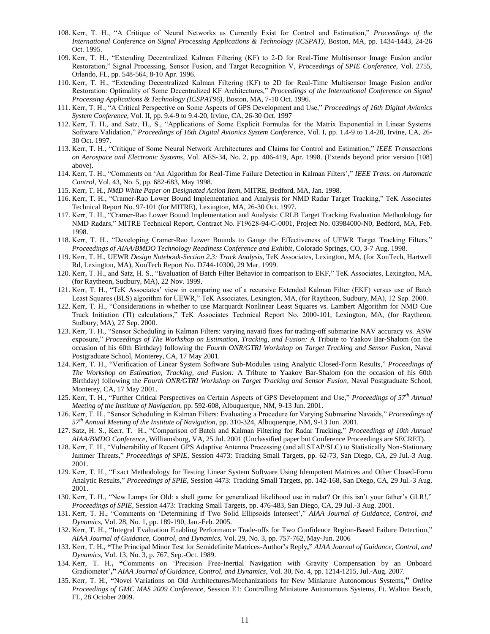- 108. Kerr, T. H., "A Critique of Neural Networks as Currently Exist for Control and Estimation," *Proceedings of the International Conference on Signal Processing Applications & Technology (ICSPAT)*, Boston, MA, pp. 1434-1443, 24-26 Oct. 1995.
- 109. Kerr, T. H., "Extending Decentralized Kalman Filtering (KF) to 2-D for Real-Time Multisensor Image Fusion and/or Restoration," Signal Processing, Sensor Fusion, and Target Recognition V, *Proceedings of SPIE Conference*, Vol. 2755, Orlando, FL, pp. 548-564, 8-10 Apr. 1996.
- 110. Kerr, T. H., "Extending Decentralized Kalman Filtering (KF) to 2D for Real-Time Multisensor Image Fusion and/or Restoration: Optimality of Some Decentralized KF Architectures," *Proceedings of the International Conference on Signal Processing Applications & Technology (ICSPAT96),* Boston, MA, 7-10 Oct. 1996.
- 111. Kerr, T. H., "A Critical Perspective on Some Aspects of GPS Development and Use," *Proceedings of 16th Digital Avionics System Conference,* Vol. II, pp. 9.4-9 to 9.4-20, Irvine, CA, 26-30 Oct. 1997
- 112. Kerr, T. H., and Satz, H., S., "Applications of Some Explicit Formulas for the Matrix Exponential in Linear Systems Software Validation," *Proceedings of 16th Digital Avionics System Conference*, Vol. I, pp. 1.4-9 to 1.4-20, Irvine, CA, 26- 30 Oct. 1997.
- 113. Kerr, T. H., "Critique of Some Neural Network Architectures and Claims for Control and Estimation," *IEEE Transactions on Aerospace and Electronic Systems*, Vol. AES-34, No. 2, pp. 406-419, Apr. 1998. (Extends beyond prior version [108] above).
- 114. Kerr, T. H., "Comments on 'An Algorithm for Real-Time Failure Detection in Kalman Filters'," *IEEE Trans. on Automatic Control*, Vol. 43, No. 5, pp. 682-683, May 1998.
- 115. Kerr, T. H., *NMD White Paper on Designated Action Item*, MITRE, Bedford, MA, Jan. 1998.
- 116. Kerr, T. H., "Cramer-Rao Lower Bound Implementation and Analysis for NMD Radar Target Tracking," TeK Associates Technical Report No. 97-101 (for MITRE), Lexington, MA, 26-30 Oct. 1997.
- 117. Kerr, T. H., "Cramer-Rao Lower Bound Implementation and Analysis: CRLB Target Tracking Evaluation Methodology for NMD Radars," MITRE Technical Report, Contract No. F19628-94-C-0001, Project No. 03984000-N0, Bedford, MA, Feb. 1998.
- 118. Kerr, T. H., "Developing Cramer-Rao Lower Bounds to Gauge the Effectiveness of UEWR Target Tracking Filters," *Proceedings of AIAA/BMDO Technology Readiness Conference and Exhibit*, Colorado Springs, CO, 3-7 Aug. 1998.
- 119. Kerr, T. H., UEWR *Design Notebook-Section 2.3: Track Analysis*, TeK Associates, Lexington, MA, (for XonTech, Hartwell Rd, Lexington, MA), XonTech Report No. D744-10300, 29 Mar. 1999.
- 120. Kerr, T. H., and Satz, H. S., "Evaluation of Batch Filter Behavior in comparison to EKF," TeK Associates, Lexington, MA, (for Raytheon, Sudbury, MA), 22 Nov. 1999.
- 121. Kerr, T. H., "TeK Associates' view in comparing use of a recursive Extended Kalman Filter (EKF) versus use of Batch Least Squares (BLS) algorithm for UEWR," TeK Associates, Lexington, MA, (for Raytheon, Sudbury, MA), 12 Sep. 2000.
- 122. Kerr, T. H., "Considerations in whether to use Marquardt Nonlinear Least Squares vs. Lambert Algorithm for NMD Cue Track Initiation (TI) calculations," TeK Associates Technical Report No. 2000-101, Lexington, MA, (for Raytheon, Sudbury, MA), 27 Sep. 2000.
- 123. Kerr, T. H., "Sensor Scheduling in Kalman Filters: varying navaid fixes for trading-off submarine NAV accuracy vs. ASW exposure," *Proceedings of The Workshop on Estimation, Tracking, and Fusion:* A Tribute to Yaakov Bar-Shalom (on the occasion of his 60th Birthday) following the *Fourth ONR/GTRI Workshop on Target Tracking and Sensor Fusion*, Naval Postgraduate School, Monterey, CA, 17 May 2001.
- 124. Kerr, T. H., "Verification of Linear System Software Sub-Modules using Analytic Closed-Form Results," *Proceedings of The Workshop on Estimation, Tracking, and Fusion:* A Tribute to Yaakov Bar-Shalom (on the occasion of his 60th Birthday) following the *Fourth ONR/GTRI Workshop on Target Tracking and Sensor Fusion*, Naval Postgraduate School, Monterey, CA, 17 May 2001.
- 125. Kerr, T. H., "Further Critical Perspectives on Certain Aspects of GPS Development and Use," *Proceedings of 57th Annual Meeting of the Institute of Navigation*, pp. 592-608, Albuquerque, NM, 9-13 Jun. 2001.
- 126. Kerr, T. H., "Sensor Scheduling in Kalman Filters: Evaluating a Procedure for Varying Submarine Navaids," *Proceedings of 57th Annual Meeting of the Institute of Navigation*, pp. 310-324, Albuquerque, NM, 9-13 Jun. 2001.
- 127. Satz, H. S., Kerr, T. H., "Comparison of Batch and Kalman Filtering for Radar Tracking," *Proceedings of 10th Annual AIAA/BMDO Conference*, Williamsburg, VA, 25 Jul. 2001 (Unclassified paper but Conference Proceedings are SECRET).
- 128. Kerr, T. H., "Vulnerability of Recent GPS Adaptive Antenna Processing (and all STAP/SLC) to Statistically Non-Stationary Jammer Threats," *Proceedings of SPIE,* Session 4473: Tracking Small Targets, pp. 62-73, San Diego, CA, 29 Jul.-3 Aug. 2001.
- 129. Kerr, T. H., "Exact Methodology for Testing Linear System Software Using Idempotent Matrices and Other Closed-Form Analytic Results," *Proceedings of SPIE,* Session 4473: Tracking Small Targets, pp. 142-168, San Diego, CA, 29 Jul.-3 Aug. 2001.
- 130. Kerr, T. H., "New Lamps for Old: a shell game for generalized likelihood use in radar? Or this isn't your father's GLR!," *Proceedings of SPIE,* Session 4473: Tracking Small Targets, pp. 476-483, San Diego, CA, 29 Jul.-3 Aug. 2001.
- 131. Kerr, T. H., "Comments on 'Determining if Two Solid Ellipsoids Intersect'," *AIAA Journal of Guidance, Control, and Dynamics,* Vol. 28, No. 1, pp. 189-190, Jan.-Feb. 2005.
- 132. Kerr, T. H., "Integral Evaluation Enabling Performance Trade-offs for Two Confidence Region-Based Failure Detection," *AIAA Journal of Guidance, Control, and Dynamics*, Vol. 29, No. 3, pp. 757-762, May-Jun. 2006
- 133. Kerr, T. H., **"**The Principal Minor Test for Semidefinite Matrices-Author**'**s Reply**,"** *AIAA Journal of Guidance, Control, and Dynamics*, Vol. 13, No. 3, p. 767, Sep.-Oct. 1989.
- 134. Kerr, T. H.**, "**Comments on 'Precision Free-Inertial Navigation with Gravity Compensation by an Onboard Gradiometer'**,"** *AIAA Journal of Guidance, Control, and Dynamics*, Vol. 30, No. 4, pp. 1214-1215, Jul.-Aug. 2007.
- 135. Kerr, T. H., **"**Novel Variations on Old Architectures/Mechanizations for New Miniature Autonomous Systems**,"** *Online Proceedings of GMC MAS 2009 Conference*, Session E1: Controlling Miniature Autonomous Systems, Ft. Walton Beach, FL, 28 October 2009.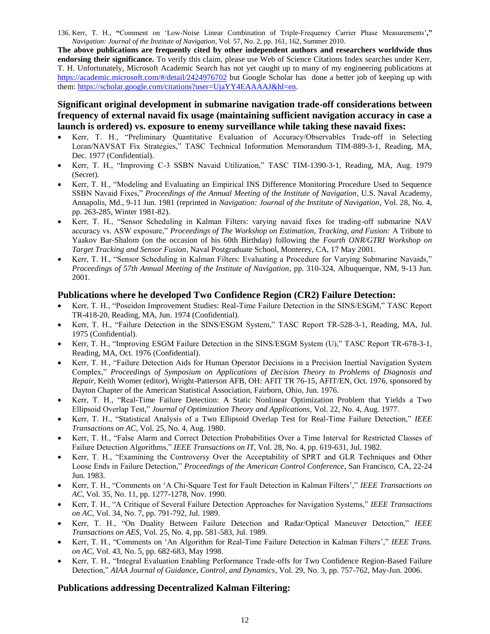136. Kerr, T. H., **"**Comment on 'Low-Noise Linear Combination of Triple-Frequency Carrier Phase Measurements'**,"**  *Navigation: Journal of the Institute of Navigation*, Vol. 57, No. 2, pp. 161, 162, Summer 2010.

**The above publications are frequently cited by other independent authors and researchers worldwide thus endorsing their significance.** To verify this claim, please use Web of Science Citations Index searches under Kerr, T. H. Unfortunately, Microsoft Academic Search has not yet caught up to many of my engineering publications at <https://academic.microsoft.com/#/detail/2424976702> but Google Scholar has done a better job of keeping up with them: [https://scholar.google.com/citations?user=UjaYY4EAAAAJ&hl=en.](https://scholar.google.com/citations?user=UjaYY4EAAAAJ&hl=en)

# **Significant original development in submarine navigation trade-off considerations between frequency of external navaid fix usage (maintaining sufficient navigation accuracy in case a launch is ordered) vs. exposure to enemy surveillance while taking these navaid fixes:**

- Kerr, T. H., "Preliminary Quantitative Evaluation of Accuracy/Observables Trade-off in Selecting Loran/NAVSAT Fix Strategies," TASC Technical Information Memorandum TIM-889-3-1, Reading, MA, Dec. 1977 (Confidential).
- Kerr, T. H., "Improving C-3 SSBN Navaid Utilization," TASC TIM-1390-3-1, Reading, MA, Aug. 1979 (Secret).
- Kerr, T. H., "Modeling and Evaluating an Empirical INS Difference Monitoring Procedure Used to Sequence SSBN Navaid Fixes," *Proceedings of the Annual Meeting of the Institute of Navigation*, U.S. Naval Academy, Annapolis, Md., 9-11 Jun. 1981 (reprinted in *Navigation: Journal of the Institute of Navigation*, Vol. 28, No. 4, pp. 263-285, Winter 1981-82).
- Kerr, T. H., "Sensor Scheduling in Kalman Filters: varying navaid fixes for trading-off submarine NAV accuracy vs. ASW exposure," *Proceedings of The Workshop on Estimation, Tracking, and Fusion:* A Tribute to Yaakov Bar-Shalom (on the occasion of his 60th Birthday) following the *Fourth ONR/GTRI Workshop on Target Tracking and Sensor Fusion*, Naval Postgraduate School, Monterey, CA, 17 May 2001.
- Kerr, T. H., "Sensor Scheduling in Kalman Filters: Evaluating a Procedure for Varying Submarine Navaids," *Proceedings of 57th Annual Meeting of the Institute of Navigation*, pp. 310-324, Albuquerque, NM, 9-13 Jun. 2001.

## **Publications where he developed Two Confidence Region (CR2) Failure Detection:**

- Kerr, T. H., "Poseidon Improvement Studies: Real-Time Failure Detection in the SINS/ESGM," TASC Report TR-418-20, Reading, MA, Jun. 1974 (Confidential).
- Kerr, T. H., "Failure Detection in the SINS/ESGM System," TASC Report TR-528-3-1, Reading, MA, Jul. 1975 (Confidential).
- Kerr, T. H., "Improving ESGM Failure Detection in the SINS/ESGM System (U)," TASC Report TR-678-3-1, Reading, MA, Oct. 1976 (Confidential).
- Kerr, T. H., "Failure Detection Aids for Human Operator Decisions in a Precision Inertial Navigation System Complex," *Proceedings of Symposium on Applications of Decision Theory to Problems of Diagnosis and Repair*, Keith Womer (editor), Wright-Patterson AFB, OH: AFIT TR 76-15, AFIT/EN, Oct. 1976, sponsored by Dayton Chapter of the American Statistical Association, Fairborn, Ohio, Jun. 1976.
- Kerr, T. H., "Real-Time Failure Detection: A Static Nonlinear Optimization Problem that Yields a Two Ellipsoid Overlap Test," *Journal of Optimization Theory and Applications*, Vol. 22, No. 4, Aug. 1977.
- Kerr, T. H., "Statistical Analysis of a Two Ellipsoid Overlap Test for Real-Time Failure Detection," *IEEE Transactions on AC*, Vol. 25, No. 4, Aug. 1980.
- Kerr, T. H., "False Alarm and Correct Detection Probabilities Over a Time Interval for Restricted Classes of Failure Detection Algorithms," *IEEE Transactions on IT*, Vol. 28, No. 4, pp. 619-631, Jul. 1982.
- Kerr, T. H., "Examining the Controversy Over the Acceptability of SPRT and GLR Techniques and Other Loose Ends in Failure Detection," *Proceedings of the American Control Conference*, San Francisco, CA, 22-24 Jun. 1983.
- Kerr, T. H., "Comments on 'A Chi-Square Test for Fault Detection in Kalman Filters'," *IEEE Transactions on AC*, Vol. 35, No. 11, pp. 1277-1278, Nov. 1990.
- Kerr, T. H., "A Critique of Several Failure Detection Approaches for Navigation Systems," *IEEE Transactions on AC*, Vol. 34, No. 7, pp. 791-792, Jul. 1989.
- Kerr, T. H., "On Duality Between Failure Detection and Radar/Optical Maneuver Detection," *IEEE Transactions on AES*, Vol. 25, No. 4, pp. 581-583, Jul. 1989.
- Kerr, T. H., "Comments on 'An Algorithm for Real-Time Failure Detection in Kalman Filters'," *IEEE Trans. on AC*, Vol. 43, No. 5, pp. 682-683, May 1998.
- Kerr, T. H., "Integral Evaluation Enabling Performance Trade-offs for Two Confidence Region-Based Failure Detection," *AIAA Journal of Guidance, Control, and Dynamics*, Vol. 29, No. 3, pp. 757-762, May-Jun. 2006.

# **Publications addressing Decentralized Kalman Filtering:**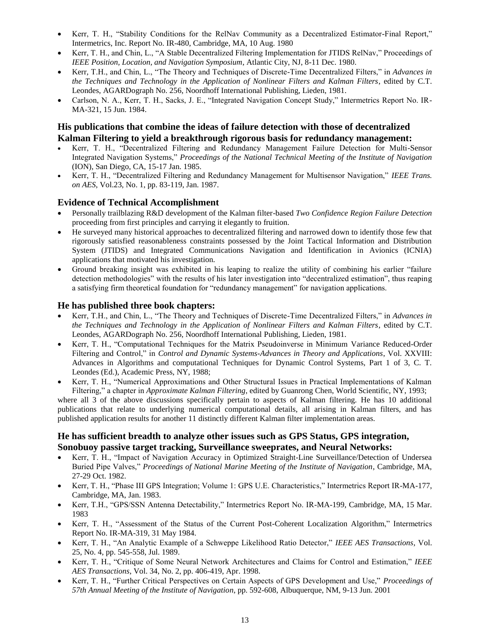- Kerr, T. H., "Stability Conditions for the RelNav Community as a Decentralized Estimator-Final Report," Intermetrics, Inc. Report No. IR-480, Cambridge, MA, 10 Aug. 1980
- Kerr, T. H., and Chin, L., "A Stable Decentralized Filtering Implementation for JTIDS RelNav," Proceedings of *IEEE Position, Location, and Navigation Symposium*, Atlantic City, NJ, 8-11 Dec. 1980.
- Kerr, T.H., and Chin, L., "The Theory and Techniques of Discrete-Time Decentralized Filters," in *Advances in the Techniques and Technology in the Application of Nonlinear Filters and Kalman Filters*, edited by C.T. Leondes, AGARDograph No. 256, Noordhoff International Publishing, Lieden, 1981.
- Carlson, N. A., Kerr, T. H., Sacks, J. E., "Integrated Navigation Concept Study," Intermetrics Report No. IR-MA-321, 15 Jun. 1984.

# **His publications that combine the ideas of failure detection with those of decentralized Kalman Filtering to yield a breakthrough rigorous basis for redundancy management:**

- Kerr, T. H., "Decentralized Filtering and Redundancy Management Failure Detection for Multi-Sensor Integrated Navigation Systems," *Proceedings of the National Technical Meeting of the Institute of Navigation* (ION), San Diego, CA, 15-17 Jan. 1985.
- Kerr, T. H., "Decentralized Filtering and Redundancy Management for Multisensor Navigation," *IEEE Trans. on AES*, Vol.23, No. 1, pp. 83-119, Jan. 1987.

## **Evidence of Technical Accomplishment**

- Personally trailblazing R&D development of the Kalman filter-based *Two Confidence Region Failure Detection* proceeding from first principles and carrying it elegantly to fruition.
- He surveyed many historical approaches to decentralized filtering and narrowed down to identify those few that rigorously satisfied reasonableness constraints possessed by the Joint Tactical Information and Distribution System (JTIDS) and Integrated Communications Navigation and Identification in Avionics (ICNIA) applications that motivated his investigation.
- Ground breaking insight was exhibited in his leaping to realize the utility of combining his earlier "failure detection methodologies" with the results of his later investigation into "decentralized estimation", thus reaping a satisfying firm theoretical foundation for "redundancy management" for navigation applications.

### **He has published three book chapters:**

- Kerr, T.H., and Chin, L., "The Theory and Techniques of Discrete-Time Decentralized Filters," in *Advances in the Techniques and Technology in the Application of Nonlinear Filters and Kalman Filters*, edited by C.T. Leondes, AGARDograph No. 256, Noordhoff International Publishing, Lieden, 1981.
- Kerr, T. H., "Computational Techniques for the Matrix Pseudoinverse in Minimum Variance Reduced-Order Filtering and Control," in *Control and Dynamic Systems-Advances in Theory and Applications*, Vol. XXVIII: Advances in Algorithms and computational Techniques for Dynamic Control Systems, Part 1 of 3, C. T. Leondes (Ed.), Academic Press, NY, 1988;
- Kerr, T. H., "Numerical Approximations and Other Structural Issues in Practical Implementations of Kalman Filtering," a chapter in *Approximate Kalman Filtering*, edited by Guanrong Chen, World Scientific, NY, 1993;

where all 3 of the above discussions specifically pertain to aspects of Kalman filtering. He has 10 additional publications that relate to underlying numerical computational details, all arising in Kalman filters, and has published application results for another 11 distinctly different Kalman filter implementation areas.

### **He has sufficient breadth to analyze other issues such as GPS Status, GPS integration, Sonobuoy passive target tracking, Surveillance sweeprates, and Neural Networks:**

- Kerr, T. H., "Impact of Navigation Accuracy in Optimized Straight-Line Surveillance/Detection of Undersea Buried Pipe Valves," *Proceedings of National Marine Meeting of the Institute of Navigation*, Cambridge, MA, 27-29 Oct. 1982.
- Kerr, T. H., "Phase III GPS Integration; Volume 1: GPS U.E. Characteristics," Intermetrics Report IR-MA-177, Cambridge, MA, Jan. 1983.
- Kerr, T.H., "GPS/SSN Antenna Detectability," Intermetrics Report No. IR-MA-199, Cambridge, MA, 15 Mar. 1983
- Kerr, T. H., "Assessment of the Status of the Current Post-Coherent Localization Algorithm," Intermetrics Report No. IR-MA-319, 31 May 1984.
- Kerr, T. H., "An Analytic Example of a Schweppe Likelihood Ratio Detector," *IEEE AES Transactions*, Vol. 25, No. 4, pp. 545-558, Jul. 1989.
- Kerr, T. H., "Critique of Some Neural Network Architectures and Claims for Control and Estimation," *IEEE AES Transactions*, Vol. 34, No. 2, pp. 406-419, Apr. 1998.
- Kerr, T. H., "Further Critical Perspectives on Certain Aspects of GPS Development and Use," *Proceedings of 57th Annual Meeting of the Institute of Navigation*, pp. 592-608, Albuquerque, NM, 9-13 Jun. 2001